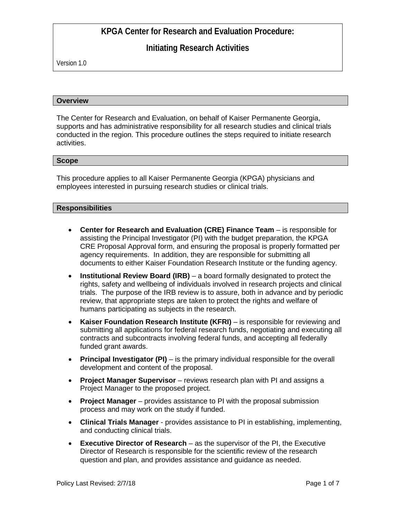# **Initiating Research Activities**

Version 1.0

#### **Overview**

The Center for Research and Evaluation, on behalf of Kaiser Permanente Georgia, supports and has administrative responsibility for all research studies and clinical trials conducted in the region. This procedure outlines the steps required to initiate research activities.

### **Scope**

This procedure applies to all Kaiser Permanente Georgia (KPGA) physicians and employees interested in pursuing research studies or clinical trials.

### **Responsibilities**

- **Center for Research and Evaluation (CRE) Finance Team** is responsible for assisting the Principal Investigator (PI) with the budget preparation, the KPGA CRE Proposal Approval form, and ensuring the proposal is properly formatted per agency requirements. In addition, they are responsible for submitting all documents to either Kaiser Foundation Research Institute or the funding agency.
- **Institutional Review Board (IRB)** a board formally designated to protect the rights, safety and wellbeing of individuals involved in research projects and clinical trials. The purpose of the IRB review is to assure, both in advance and by periodic review, that appropriate steps are taken to protect the rights and welfare of humans participating as subjects in the research.
- **Kaiser Foundation Research Institute (KFRI)** is responsible for reviewing and submitting all applications for federal research funds, negotiating and executing all contracts and subcontracts involving federal funds, and accepting all federally funded grant awards.
- **Principal Investigator (PI)** is the primary individual responsible for the overall development and content of the proposal.
- **Project Manager Supervisor**  reviews research plan with PI and assigns a Project Manager to the proposed project.
- **Project Manager**  provides assistance to PI with the proposal submission process and may work on the study if funded.
- **Clinical Trials Manager**  provides assistance to PI in establishing, implementing, and conducting clinical trials.
- **Executive Director of Research** as the supervisor of the PI, the Executive Director of Research is responsible for the scientific review of the research question and plan, and provides assistance and guidance as needed.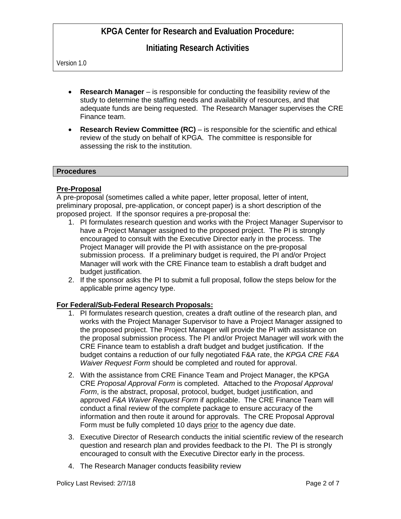## **Initiating Research Activities**

Version 1.0

- **Research Manager** is responsible for conducting the feasibility review of the study to determine the staffing needs and availability of resources, and that adequate funds are being requested. The Research Manager supervises the CRE Finance team.
- **Research Review Committee (RC)** is responsible for the scientific and ethical review of the study on behalf of KPGA. The committee is responsible for assessing the risk to the institution.

#### **Procedures**

### **Pre-Proposal**

A pre-proposal (sometimes called a white paper, letter proposal, letter of intent, preliminary proposal, pre-application, or concept paper) is a short description of the proposed project. If the sponsor requires a pre-proposal the:

- 1. PI formulates research question and works with the Project Manager Supervisor to have a Project Manager assigned to the proposed project. The PI is strongly encouraged to consult with the Executive Director early in the process. The Project Manager will provide the PI with assistance on the pre-proposal submission process. If a preliminary budget is required, the PI and/or Project Manager will work with the CRE Finance team to establish a draft budget and budget justification.
- 2. If the sponsor asks the PI to submit a full proposal, follow the steps below for the applicable prime agency type.

### **For Federal/Sub-Federal Research Proposals:**

- 1. PI formulates research question, creates a draft outline of the research plan, and works with the Project Manager Supervisor to have a Project Manager assigned to the proposed project. The Project Manager will provide the PI with assistance on the proposal submission process. The PI and/or Project Manager will work with the CRE Finance team to establish a draft budget and budget justification. If the budget contains a reduction of our fully negotiated F&A rate, the *KPGA CRE F&A Waiver Request Form* should be completed and routed for approval.
- 2. With the assistance from CRE Finance Team and Project Manager, the KPGA CRE *Proposal Approval Form* is completed. Attached to the *Proposal Approval Form*, is the abstract, proposal, protocol, budget, budget justification, and approved *F&A Waiver Request Form* if applicable. The CRE Finance Team will conduct a final review of the complete package to ensure accuracy of the information and then route it around for approvals. The CRE Proposal Approval Form must be fully completed 10 days prior to the agency due date.
- 3. Executive Director of Research conducts the initial scientific review of the research question and research plan and provides feedback to the PI. The PI is strongly encouraged to consult with the Executive Director early in the process.
- 4. The Research Manager conducts feasibility review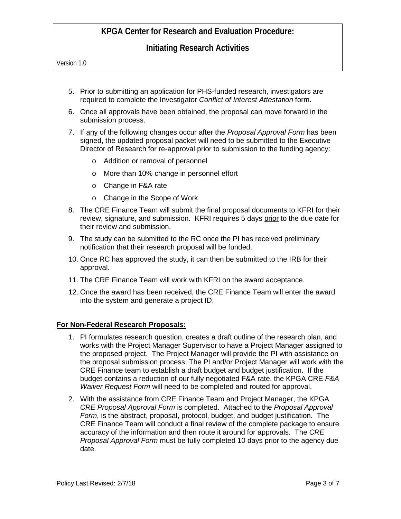## **Initiating Research Activities**

Version 1.0

- 5. Prior to submitting an application for PHS-funded research, investigators are required to complete the Investigator *Conflict of Interest Attestation* form.
- 6. Once all approvals have been obtained, the proposal can move forward in the submission process.
- 7. If any of the following changes occur after the *Proposal Approval Form* has been signed, the updated proposal packet will need to be submitted to the Executive Director of Research for re-approval prior to submission to the funding agency:
	- o Addition or removal of personnel
	- o More than 10% change in personnel effort
	- o Change in F&A rate
	- o Change in the Scope of Work
- 8. The CRE Finance Team will submit the final proposal documents to KFRI for their review, signature, and submission. KFRI requires 5 days prior to the due date for their review and submission.
- 9. The study can be submitted to the RC once the PI has received preliminary notification that their research proposal will be funded.
- 10. Once RC has approved the study, it can then be submitted to the IRB for their approval.
- 11. The CRE Finance Team will work with KFRI on the award acceptance.
- 12. Once the award has been received, the CRE Finance Team will enter the award into the system and generate a project ID.

#### **For Non-Federal Research Proposals:**

- 1. PI formulates research question, creates a draft outline of the research plan, and works with the Project Manager Supervisor to have a Project Manager assigned to the proposed project. The Project Manager will provide the PI with assistance on the proposal submission process. The PI and/or Project Manager will work with the CRE Finance team to establish a draft budget and budget justification. If the budget contains a reduction of our fully negotiated F&A rate, the KPGA CRE *F&A Waiver Request Form* will need to be completed and routed for approval.
- 2. With the assistance from CRE Finance Team and Project Manager, the KPGA *CRE Proposal Approval Form* is completed. Attached to the *Proposal Approval Form*, is the abstract, proposal, protocol, budget, and budget justification. The CRE Finance Team will conduct a final review of the complete package to ensure accuracy of the information and then route it around for approvals. The *CRE Proposal Approval Form* must be fully completed 10 days prior to the agency due date.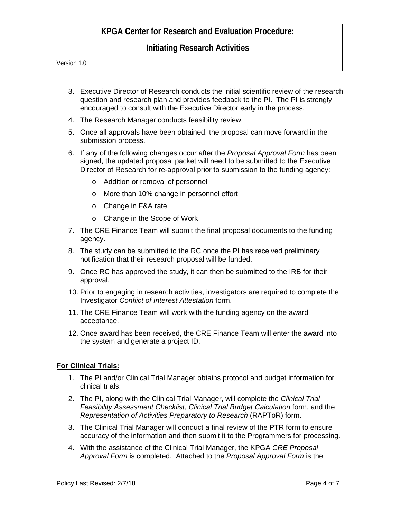# **Initiating Research Activities**

Version 1.0

- 3. Executive Director of Research conducts the initial scientific review of the research question and research plan and provides feedback to the PI. The PI is strongly encouraged to consult with the Executive Director early in the process.
- 4. The Research Manager conducts feasibility review.
- 5. Once all approvals have been obtained, the proposal can move forward in the submission process.
- 6. If any of the following changes occur after the *Proposal Approval Form* has been signed, the updated proposal packet will need to be submitted to the Executive Director of Research for re-approval prior to submission to the funding agency:
	- o Addition or removal of personnel
	- o More than 10% change in personnel effort
	- o Change in F&A rate
	- o Change in the Scope of Work
- 7. The CRE Finance Team will submit the final proposal documents to the funding agency.
- 8. The study can be submitted to the RC once the PI has received preliminary notification that their research proposal will be funded.
- 9. Once RC has approved the study, it can then be submitted to the IRB for their approval.
- 10. Prior to engaging in research activities, investigators are required to complete the Investigator *Conflict of Interest Attestation* form.
- 11. The CRE Finance Team will work with the funding agency on the award acceptance.
- 12. Once award has been received, the CRE Finance Team will enter the award into the system and generate a project ID.

### **For Clinical Trials:**

- 1. The PI and/or Clinical Trial Manager obtains protocol and budget information for clinical trials.
- 2. The PI, along with the Clinical Trial Manager, will complete the *Clinical Trial Feasibility Assessment Checklist*, *Clinical Trial Budget Calculation* form, and the *Representation of Activities Preparatory to Research* (RAPToR) form.
- 3. The Clinical Trial Manager will conduct a final review of the PTR form to ensure accuracy of the information and then submit it to the Programmers for processing.
- 4. With the assistance of the Clinical Trial Manager, the KPGA *CRE Proposal Approval Form* is completed. Attached to the *Proposal Approval Form* is the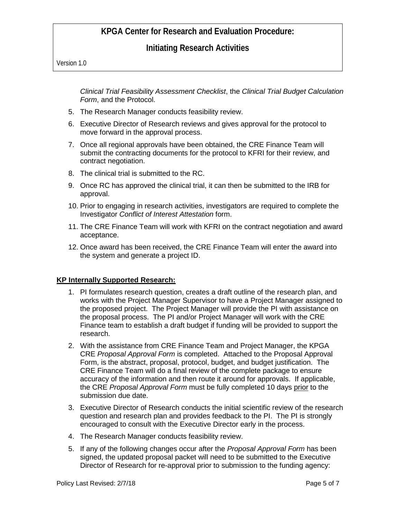**Initiating Research Activities**

Version 1.0

*Clinical Trial Feasibility Assessment Checklist*, the *Clinical Trial Budget Calculation Form*, and the Protocol.

- 5. The Research Manager conducts feasibility review.
- 6. Executive Director of Research reviews and gives approval for the protocol to move forward in the approval process.
- 7. Once all regional approvals have been obtained, the CRE Finance Team will submit the contracting documents for the protocol to KFRI for their review, and contract negotiation.
- 8. The clinical trial is submitted to the RC.
- 9. Once RC has approved the clinical trial, it can then be submitted to the IRB for approval.
- 10. Prior to engaging in research activities, investigators are required to complete the Investigator *Conflict of Interest Attestation* form.
- 11. The CRE Finance Team will work with KFRI on the contract negotiation and award acceptance.
- 12. Once award has been received, the CRE Finance Team will enter the award into the system and generate a project ID.

### **KP Internally Supported Research:**

- 1. PI formulates research question, creates a draft outline of the research plan, and works with the Project Manager Supervisor to have a Project Manager assigned to the proposed project. The Project Manager will provide the PI with assistance on the proposal process. The PI and/or Project Manager will work with the CRE Finance team to establish a draft budget if funding will be provided to support the research.
- 2. With the assistance from CRE Finance Team and Project Manager, the KPGA CRE *Proposal Approval Form* is completed. Attached to the Proposal Approval Form, is the abstract, proposal, protocol, budget, and budget justification. The CRE Finance Team will do a final review of the complete package to ensure accuracy of the information and then route it around for approvals. If applicable, the CRE *Proposal Approval Form* must be fully completed 10 days prior to the submission due date.
- 3. Executive Director of Research conducts the initial scientific review of the research question and research plan and provides feedback to the PI. The PI is strongly encouraged to consult with the Executive Director early in the process.
- 4. The Research Manager conducts feasibility review.
- 5. If any of the following changes occur after the *Proposal Approval Form* has been signed, the updated proposal packet will need to be submitted to the Executive Director of Research for re-approval prior to submission to the funding agency: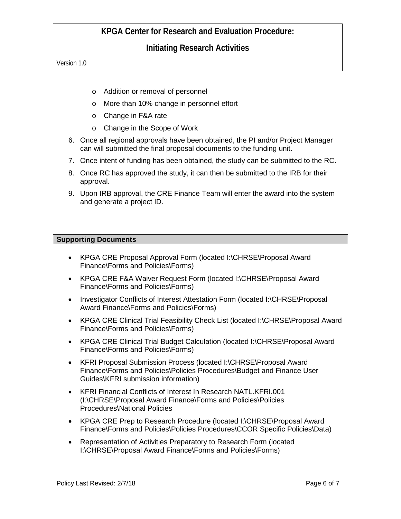**Initiating Research Activities**

Version 1.0

- o Addition or removal of personnel
- o More than 10% change in personnel effort
- o Change in F&A rate
- o Change in the Scope of Work
- 6. Once all regional approvals have been obtained, the PI and/or Project Manager can will submitted the final proposal documents to the funding unit.
- 7. Once intent of funding has been obtained, the study can be submitted to the RC.
- 8. Once RC has approved the study, it can then be submitted to the IRB for their approval.
- 9. Upon IRB approval, the CRE Finance Team will enter the award into the system and generate a project ID.

### **Supporting Documents**

- KPGA CRE Proposal Approval Form (located I:\CHRSE\Proposal Award Finance\Forms and Policies\Forms)
- KPGA CRE F&A Waiver Request Form (located I:\CHRSE\Proposal Award Finance\Forms and Policies\Forms)
- Investigator Conflicts of Interest Attestation Form (located I:\CHRSE\Proposal Award Finance\Forms and Policies\Forms)
- KPGA CRE Clinical Trial Feasibility Check List (located I:\CHRSE\Proposal Award Finance\Forms and Policies\Forms)
- KPGA CRE Clinical Trial Budget Calculation (located I:\CHRSE\Proposal Award Finance\Forms and Policies\Forms)
- KFRI Proposal Submission Process (located I:\CHRSE\Proposal Award Finance\Forms and Policies\Policies Procedures\Budget and Finance User Guides\KFRI submission information)
- KFRI Financial Conflicts of Interest In Research NATL.KFRI.001 (I:\CHRSE\Proposal Award Finance\Forms and Policies\Policies Procedures\National Policies
- KPGA CRE Prep to Research Procedure (located I:\CHRSE\Proposal Award Finance\Forms and Policies\Policies Procedures\CCOR Specific Policies\Data)
- Representation of Activities Preparatory to Research Form (located I:\CHRSE\Proposal Award Finance\Forms and Policies\Forms)